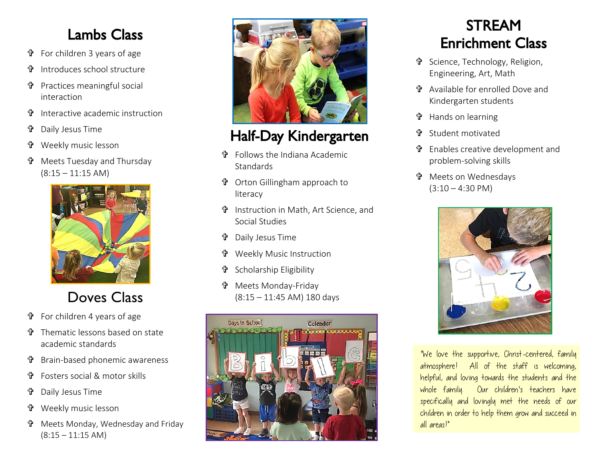#### Lambs Class

- For children 3 years of age
- Introduces school structure
- **t** Practices meaningful social interaction
- Interactive academic instruction
- Daily Jesus Time
- **t** Weekly music lesson
- Meets Tuesday and Thursday  $(8:15 - 11:15$  AM)



## Doves Class

- For children 4 years of age
- Thematic lessons based on state academic standards
- Brain-based phonemic awareness
- Fosters social & motor skills
- Daily Jesus Time
- Weekly music lesson
- Meets Monday, Wednesday and Friday  $(8:15 - 11:15$  AM)



## Half-Day Kindergarten

- Follows the Indiana Academic **Standards**
- Orton Gillingham approach to literacy
- Instruction in Math, Art Science, and Social Studies
- **th** Daily Jesus Time
- **t** Weekly Music Instruction
- Scholarship Eligibility
- Meets Monday-Friday (8:15 – 11:45 AM) 180 days



#### STREAM Enrichment Class

- Science, Technology, Religion, Engineering, Art, Math
- Available for enrolled Dove and Kindergarten students
- **t** Hands on learning
- Student motivated
- Enables creative development and problem-solving skills
- Meets on Wednesdays  $(3:10 - 4:30 \text{ PM})$



"We love the supportive, Christ-centered, family atmosphere! All of the staff is welcoming, helpful, and loving towards the students and the whole family. Our children's teachers have specifically and lovingly met the needs of our children in order to help them grow and succeed in all areas!"